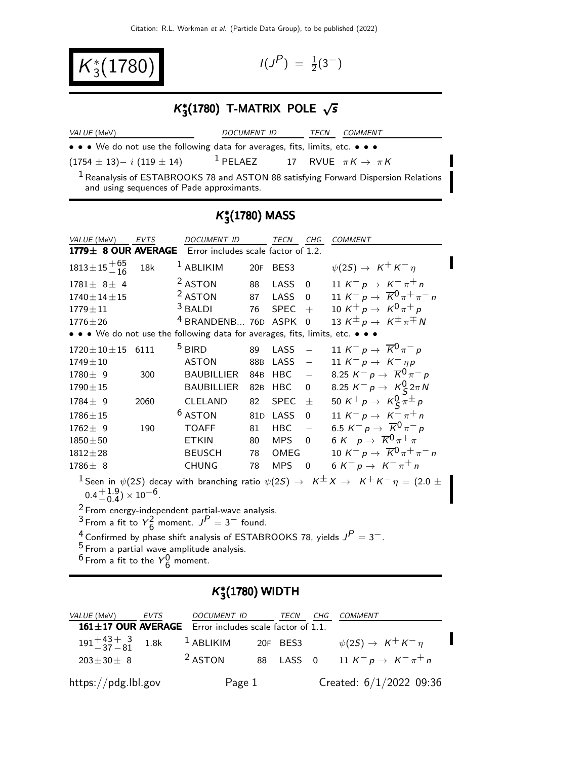$K_3^*(1780)$   $(11)$ 

 $P$ ) =  $\frac{1}{2}(3^{-})$ 

# $K_{3}^{*}(1780)$  T-MATRIX POLE  $\sqrt{s}$

| <i>VALUE</i> (MeV)                                                                                                                         | <i>DOCUMENT ID</i>                            | TECN | COMMENT |
|--------------------------------------------------------------------------------------------------------------------------------------------|-----------------------------------------------|------|---------|
| • • • We do not use the following data for averages, fits, limits, etc. • • •                                                              |                                               |      |         |
| $(1754 \pm 13)-i(119 \pm 14)$                                                                                                              | <sup>1</sup> PELAEZ 17 RVUE $\pi K \to \pi K$ |      |         |
| <sup>1</sup> Reanalysis of ESTABROOKS 78 and ASTON 88 satisfying Forward Dispersion Relations<br>and using sequences of Pade approximants. |                                               |      |         |

## $K^*_3(1780)$  MASS

| VALUE (MeV)                                                   | <b>EVTS</b> | <b>DOCUMENT ID</b>                                                                    |     | TECN        | CHG                      | <b>COMMENT</b>                                                                                                     |
|---------------------------------------------------------------|-------------|---------------------------------------------------------------------------------------|-----|-------------|--------------------------|--------------------------------------------------------------------------------------------------------------------|
| 1779± 8 OUR AVERAGE                                           |             | Error includes scale factor of 1.2.                                                   |     |             |                          |                                                                                                                    |
| $1813 \pm 15 + 65$                                            | 18k         | <sup>1</sup> ABLIKIM                                                                  |     | 20F BES3    |                          | $\psi(2S) \rightarrow K^+ K^- \eta$                                                                                |
| $1781 \pm 8 \pm 4$                                            |             | <sup>2</sup> ASTON                                                                    | 88  | LASS        | $\mathbf 0$              | 11 $K^- p \to K^- \pi^+ n$                                                                                         |
| $1740 \pm 14 \pm 15$                                          |             | <sup>2</sup> ASTON                                                                    | 87  | LASS        | $\Omega$                 | 11 $K^- p \to \overline{K}^0 \pi^+ \pi^- n$                                                                        |
| $1779 \pm 11$                                                 |             | $3$ BALDI                                                                             | 76  | <b>SPEC</b> | $+$                      | 10 K <sup>+</sup> p $\rightarrow$ K <sup>0</sup> $\pi$ <sup>+</sup> p                                              |
| $1776 \pm 26$                                                 |             | <sup>4</sup> BRANDENB 76D ASPK                                                        |     |             | $\Omega$                 | 13 $K^{\pm} p \rightarrow K^{\pm} \pi^{\mp} N$                                                                     |
|                                                               |             | • • • We do not use the following data for averages, fits, limits, etc. • • •         |     |             |                          |                                                                                                                    |
| $1720 \pm 10 \pm 15$                                          | 6111        | $5$ BIRD                                                                              | 89  | LASS        | $\equiv$                 | 11 K <sup>-</sup> p $\rightarrow \overline{K}^0 \pi^-$ p                                                           |
| $1749 \pm 10$                                                 |             | <b>ASTON</b>                                                                          | 88B | LASS        | $\overline{\phantom{m}}$ | 11 $K^- p \rightarrow K^- \eta p$                                                                                  |
| $1780 \pm 9$                                                  | 300         | <b>BAUBILLIER</b>                                                                     | 84B | HBC         | $\equiv$                 | 8.25 $K^- p \to \overline{K}^0 \pi^- p$                                                                            |
| $1790 \pm 15$                                                 |             | <b>BAUBILLIER</b>                                                                     | 82B | HBC         | 0                        | 8.25 $K^- p \to K^0_S 2\pi N$                                                                                      |
| $1784 \pm 9$                                                  | 2060        | CLELAND                                                                               | 82  | <b>SPEC</b> | $\pm$                    | 50 K <sup>+</sup> p $\rightarrow$ K <sup>0</sup> <sub>S</sub> $\pi^{\pm}$ p                                        |
| $1786 \pm 15$                                                 |             | <sup>6</sup> ASTON                                                                    |     | 81D LASS    | $\mathbf{0}$             | 11 K <sup>-</sup> p $\rightarrow$ K <sup>-</sup> $\pi$ <sup>+</sup> n                                              |
| $1762 \pm 9$                                                  | 190         | <b>TOAFF</b>                                                                          | 81  | <b>HBC</b>  | $\frac{1}{2}$            | 6.5 $K^- p \to \overline{K}^0 \pi^- p$                                                                             |
| $1850 \pm 50$                                                 |             | <b>ETKIN</b>                                                                          | 80  | <b>MPS</b>  | $\Omega$                 | 6 K <sup>-</sup> p $\rightarrow \overline{K}^{0} \pi^{+} \pi^{-}$                                                  |
| $1812 \pm 28$                                                 |             | <b>BEUSCH</b>                                                                         | 78  | OMEG        |                          | 10 K <sup>-</sup> p $\rightarrow \overline{K}^{0} \pi^{+} \pi^{-} n$                                               |
| $1786 \pm 8$                                                  |             | <b>CHUNG</b>                                                                          | 78  | <b>MPS</b>  | $\mathbf 0$              | 6 K <sup>-</sup> p $\rightarrow$ K <sup>-</sup> $\pi$ <sup>+</sup> n                                               |
|                                                               |             |                                                                                       |     |             |                          | $^1$ Seen in $\psi(2S)$ decay with branching ratio $\psi(2S) \to \ K^{\pm} X \to \ K^+ K^- \eta = (2.0 \ \pm \pi)$ |
| $0.4^{+1.9}_{-0.4})\times 10^{-6}$ .                          |             |                                                                                       |     |             |                          |                                                                                                                    |
|                                                               |             | $2$ From energy-independent partial-wave analysis.                                    |     |             |                          |                                                                                                                    |
| <sup>3</sup> From a fit to $Y_6^2$ moment. $J^P = 3^-$ found. |             |                                                                                       |     |             |                          |                                                                                                                    |
|                                                               |             | <sup>4</sup> Confirmed by phase shift analysis of ESTABROOKS 78, yields $J^P = 3^-$ . |     |             |                          |                                                                                                                    |
|                                                               |             | <sup>5</sup> From a partial wave amplitude analysis.                                  |     |             |                          |                                                                                                                    |

 $^6$  From a fit to the  $Y^0_6$  moment.

### $K^*_3$ (1780) WIDTH

| <i>VALUE</i> (MeV)     | EVTS | DOCUMENT ID                                                  | TECN      | CHG | <i>COMMENT</i>                                                        |  |
|------------------------|------|--------------------------------------------------------------|-----------|-----|-----------------------------------------------------------------------|--|
|                        |      | $161 \pm 17$ OUR AVERAGE Error includes scale factor of 1.1. |           |     |                                                                       |  |
| $191 + 43 + 3 = 1.8$ k |      | $1$ ABLIKIM                                                  | 20F BES3  |     | $\psi(2S) \rightarrow K^+ K^- \eta$                                   |  |
| $203 \pm 30 \pm 8$     |      | <sup>2</sup> ASTON                                           | 88 LASS 0 |     | 11 K <sup>-</sup> p $\rightarrow$ K <sup>-</sup> $\pi$ <sup>+</sup> n |  |
| https://pdg.lbl.gov    |      | Page 1                                                       |           |     | Created: $6/1/2022$ 09:36                                             |  |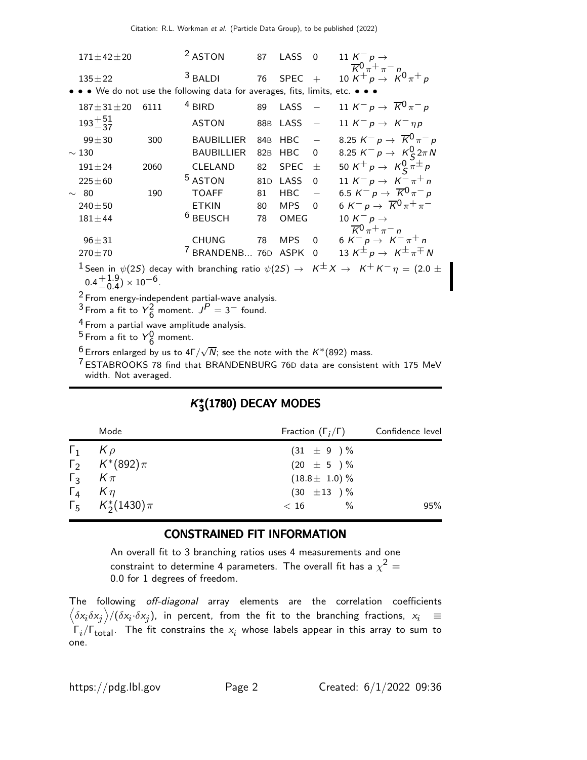| $171 \pm 42 \pm 20$                  |      | <sup>2</sup> ASTON                                                            | 87              | LASS        | $\Omega$                 | 11 $K^- p \rightarrow$                                                                                                     |
|--------------------------------------|------|-------------------------------------------------------------------------------|-----------------|-------------|--------------------------|----------------------------------------------------------------------------------------------------------------------------|
| $135 \pm 22$                         |      | $3$ BALDI                                                                     | 76              | $SPEC +$    |                          | $\overline{K}^0 \pi^+ \pi^- n$<br>10 $K^{+} p \rightarrow K^{0} \pi^{+} p$                                                 |
|                                      |      | • • • We do not use the following data for averages, fits, limits, etc. • • • |                 |             |                          |                                                                                                                            |
| $187 \pm 31 \pm 20$                  | 6111 | $4$ BIRD                                                                      | 89              | LASS        |                          | 11 K <sup>-</sup> p $\rightarrow \overline{K}^0 \pi^-$ p                                                                   |
| $193 + 51 \over 37$                  |      | <b>ASTON</b>                                                                  | 88B             | LASS        |                          | 11 $K^- p \rightarrow K^- \eta p$                                                                                          |
| $99 + 30$                            | 300  | <b>BAUBILLIER</b>                                                             | 84 <sub>B</sub> | <b>HBC</b>  | $\overline{\phantom{a}}$ | 8.25 $K^- p \to \overline{K}^0 \pi^- p$                                                                                    |
| $\sim$ 130                           |      | <b>BAUBILLIER</b>                                                             | 82 <sub>B</sub> | HBC         | 0                        | 8.25 $K^- p \to K^0_S 2\pi N$                                                                                              |
| $191 \pm 24$                         | 2060 | <b>CLELAND</b>                                                                | 82              | <b>SPEC</b> | $\pm$                    | 50 K <sup>+</sup> p $\rightarrow$ K <sup>0</sup> <sub>S</sub> $\pi^{\pm}$ p                                                |
| $225 \pm 60$                         |      | <sup>5</sup> ASTON                                                            | 81 <sub>D</sub> | LASS        | $\Omega$                 | 11 K <sup>-</sup> p $\rightarrow$ K <sup>-</sup> $\pi$ <sup>+</sup> n                                                      |
| $\sim$ 80                            | 190  | <b>TOAFF</b>                                                                  | 81              | <b>HBC</b>  | $\equiv$                 | 6.5 $K^- p \rightarrow \overline{K}^0 \pi^- p$                                                                             |
| $240 \pm 50$                         |      | <b>ETKIN</b>                                                                  | 80              | <b>MPS</b>  | $\Omega$                 | 6 K <sup>-</sup> p $\rightarrow \overline{K}^0 \pi^+ \pi^-$                                                                |
| $181 \pm 44$                         |      | <sup>6</sup> BEUSCH                                                           | 78              | OMEG        |                          | 10 $K^- p \rightarrow$                                                                                                     |
| $96 + 31$                            |      | <b>CHUNG</b>                                                                  | 78              | <b>MPS</b>  | $\Omega$                 | $\overline{K}^0 \pi^+ \pi^- n$<br>6 K <sup>-</sup> p $\rightarrow$ K <sup>-</sup> $\pi$ <sup>+</sup> n                     |
| $270 + 70$                           |      | <sup>7</sup> BRANDENB 76D ASPK                                                |                 |             | $\Omega$                 | 13 $K^{\pm} p \rightarrow K^{\pm} \pi^{\mp} N$                                                                             |
| $0.4^{+1.9}_{-0.4})\times 10^{-6}$ . |      |                                                                               |                 |             |                          | $^{-1}$ Seen in $\psi(2S)$ decay with branching ratio $\psi(2S) \rightarrow K^{\pm}K \rightarrow K^+K^-\eta = (2.0 \pm 1)$ |
|                                      |      | $2$ From energy-independent partial-wave analysis.                            |                 |             |                          |                                                                                                                            |
|                                      |      | $3r$ $\cdots$ $r_{t+1}$ , $\sqrt{2}$ $\cdots$ $P$ $2r$                        |                 |             |                          |                                                                                                                            |

<sup>3</sup> From a fit to  $Y_6^2$  $\frac{2}{6}$  moment.  $J^P = 3^-$  found.

<sup>4</sup> From a partial wave amplitude analysis.

<sup>5</sup> From a fit to  $Y_6^0$  moment.

 $^6$  Errors enlarged by us to 4Г $/\sqrt{N}$ ; see the note with the  $K^*(892)$  mass.

<sup>7</sup> ESTABROOKS 78 find that BRANDENBURG 76D data are consistent with 175 MeV width. Not averaged.

### $K^*_3(1780)$  DECAY MODES

|                     | Mode                        | Fraction $(\Gamma_i/\Gamma)$ | Confidence level |
|---------------------|-----------------------------|------------------------------|------------------|
| $\Gamma_1$ $K \rho$ |                             | $(31 \pm 9) \%$              |                  |
|                     | $\Gamma_2$ $K^*(892)\pi$    | $(20 \pm 5) \%$              |                  |
| $\Gamma_3$ $K\pi$   |                             | $(18.8 \pm 1.0)\%$           |                  |
| $\Gamma_4$ $K\eta$  |                             | $(30 \pm 13) \%$             |                  |
|                     | $\Gamma_5$ $K_2^*(1430)\pi$ | $\frac{0}{0}$<br>< 16        | 95%              |

#### CONSTRAINED FIT INFORMATION

An overall fit to 3 branching ratios uses 4 measurements and one constraint to determine 4 parameters. The overall fit has a  $\chi^2 =$ 0.0 for 1 degrees of freedom.

The following off-diagonal array elements are the correlation coefficients  $\left<\delta x_i\delta x_j\right>$ / $(\delta x_i\cdot\delta x_j)$ , in percent, from the fit to the branching fractions,  $x_i$   $\;\equiv$  $\Gamma_i/\Gamma_{\rm total}$ . The fit constrains the  $x_i$  whose labels appear in this array to sum to one.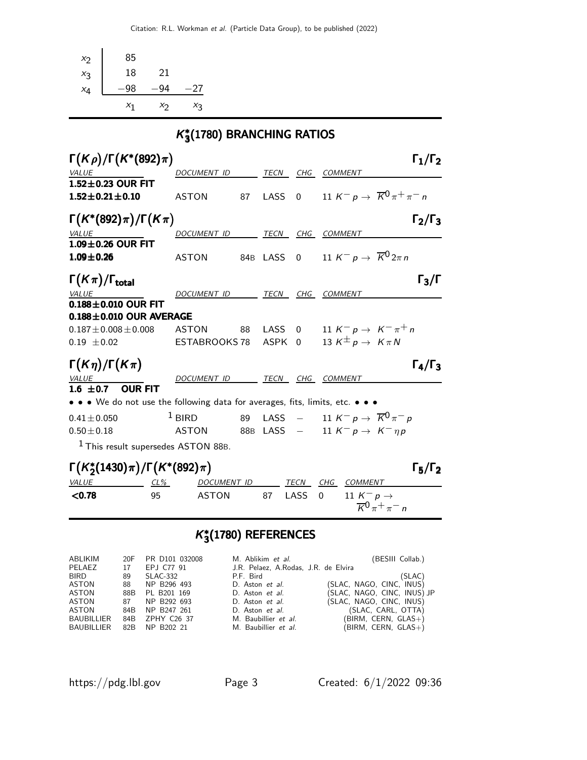| $x_2$                             | 85                                                          |        |                                                                             |      |                  |              |                                                                                                             |                                |                     |
|-----------------------------------|-------------------------------------------------------------|--------|-----------------------------------------------------------------------------|------|------------------|--------------|-------------------------------------------------------------------------------------------------------------|--------------------------------|---------------------|
| $x_3$                             | 18                                                          | 21     |                                                                             |      |                  |              |                                                                                                             |                                |                     |
| $x_4$                             | $-98$                                                       | $-94$  | $-27$                                                                       |      |                  |              |                                                                                                             |                                |                     |
|                                   | $x_1$                                                       | $x_2$  | $X_3$                                                                       |      |                  |              |                                                                                                             |                                |                     |
|                                   |                                                             |        | $K_3^*(1780)$ BRANCHING RATIOS                                              |      |                  |              |                                                                                                             |                                |                     |
|                                   | $\Gamma(K\rho)/\Gamma(K^*(892)\pi)$                         |        |                                                                             |      |                  |              |                                                                                                             |                                | $\Gamma_1/\Gamma_2$ |
| <b>VALUE</b>                      |                                                             |        | DOCUMENT ID TECN CHG COMMENT                                                |      |                  |              |                                                                                                             |                                |                     |
|                                   | $1.52 \pm 0.23$ OUR FIT<br>$1.52 \!\pm\! 0.21 \!\pm\! 0.10$ |        | ASTON                                                                       | 87   | LASS             | $\mathbf{0}$ | 11 K <sup>-</sup> p $\rightarrow \overline{K}^0 \pi^+ \pi^-$ n                                              |                                |                     |
|                                   | $\Gamma(K^*(892)\pi)/\Gamma(K\pi)$                          |        |                                                                             |      |                  |              |                                                                                                             |                                | $\Gamma_2/\Gamma_3$ |
| <b>VALUE</b>                      | $1.09 \pm 0.26$ OUR FIT                                     |        | DOCUMENT ID TECN CHG COMMENT                                                |      |                  |              |                                                                                                             |                                |                     |
| $1.09 \pm 0.26$                   |                                                             |        | <b>ASTON</b>                                                                |      |                  |              | 84B LASS 0 11 $K^- p \rightarrow \overline{K}^0 2\pi n$                                                     |                                |                     |
| $\Gamma(K\pi)/\Gamma_{\rm total}$ |                                                             |        |                                                                             |      |                  |              |                                                                                                             |                                | $\Gamma_3/\Gamma$   |
| VALUE                             |                                                             |        | DOCUMENT ID TECN CHG COMMENT                                                |      |                  |              |                                                                                                             |                                |                     |
|                                   | $0.188 \pm 0.010$ OUR FIT                                   |        |                                                                             |      |                  |              |                                                                                                             |                                |                     |
|                                   | $0.188 \pm 0.010$ OUR AVERAGE                               |        |                                                                             |      |                  |              |                                                                                                             |                                |                     |
| $0.19 \pm 0.02$                   | $0.187 \pm 0.008 \pm 0.008$                                 |        | ASTON<br>ESTABROOKS 78                                                      | 88 — | LASS 0<br>ASPK 0 |              | 11 K <sup>-</sup> p $\rightarrow$ K <sup>-</sup> $\pi$ <sup>+</sup> n<br>13 $K^{\pm} p \rightarrow K \pi N$ |                                |                     |
|                                   |                                                             |        |                                                                             |      |                  |              |                                                                                                             |                                |                     |
|                                   | $\Gamma(K\eta)/\Gamma(K\pi)$                                |        |                                                                             |      |                  |              |                                                                                                             |                                | $\Gamma_4/\Gamma_3$ |
| $\frac{VALUE}{1.6}$ $\pm 0.7$     |                                                             |        | DOCUMENT ID TECN CHG COMMENT                                                |      |                  |              |                                                                                                             |                                |                     |
|                                   | <b>OUR FIT</b>                                              |        |                                                                             |      |                  |              |                                                                                                             |                                |                     |
|                                   |                                                             |        | • • • We do not use the following data for averages, fits, limits, etc. • • |      |                  |              |                                                                                                             |                                |                     |
| $0.41 \pm 0.050$                  |                                                             |        | $1$ BIRD                                                                    | 89   |                  |              | LASS $-$ 11 K $^-$ p $\rightarrow$ $\overline{K}0\,\pi^-\,\rho$<br>88B LASS $-$ 11 $K^- p \to K^- \eta p$   |                                |                     |
| $0.50 \pm 0.18$                   |                                                             |        | <b>ASTON</b>                                                                |      |                  |              |                                                                                                             |                                |                     |
|                                   |                                                             |        | <sup>1</sup> This result supersedes ASTON 88B.                              |      |                  |              |                                                                                                             |                                |                     |
|                                   |                                                             |        | $\Gamma(K_2^*(1430)\pi)/\Gamma(K^*(892)\pi)$                                |      |                  |              |                                                                                                             |                                | $\Gamma_5/\Gamma_2$ |
| VALUE                             |                                                             | $CL\%$ | DOCUMENT ID                                                                 |      |                  | TECN         | CHG COMMENT                                                                                                 |                                |                     |
| < 0.78                            |                                                             | 95     | <b>ASTON</b>                                                                |      | 87               | LASS         | $\Omega$<br>11 $K^- p \rightarrow$                                                                          | $\overline{K}^0 \pi^+ \pi^- n$ |                     |
|                                   |                                                             |        |                                                                             |      |                  |              |                                                                                                             |                                |                     |

### $K^*_3$ (1780) REFERENCES

| ABLIKIM           | 20F | PR D101 032008  | M. Ablikim et al.                    | (BESIII Collab.)            |
|-------------------|-----|-----------------|--------------------------------------|-----------------------------|
| PELAEZ            | 17  | EPJ C77 91      | J.R. Pelaez, A.Rodas, J.R. de Elvira |                             |
| BIRD              | 89  | SLAC-332        | P.F. Bird                            | (SLAC)                      |
| ASTON             | 88  | NP B296 493     | D. Aston et al.                      | (SLAC, NAGO, CINC, INUS)    |
| ASTON             | 88B | PL B201 169     | D. Aston et al.                      | (SLAC, NAGO, CINC, INUS) JP |
| ASTON             | 87  | NP B292 693     | D. Aston et al.                      | (SLAC, NAGO, CINC, INUS)    |
| ASTON             | 84B | NP B247 261     | D. Aston et al.                      | (SLAC, CARL, OTTA)          |
| BAUBILLIER        |     | 84B ZPHY C26 37 | M. Baubillier et al.                 | $(BIRM, CERN, GLAS+)$       |
| <b>BAUBILLIER</b> |     | 82B NP B202 21  | M. Baubillier et al.                 | (BIRM, CERN, GLAS+)         |